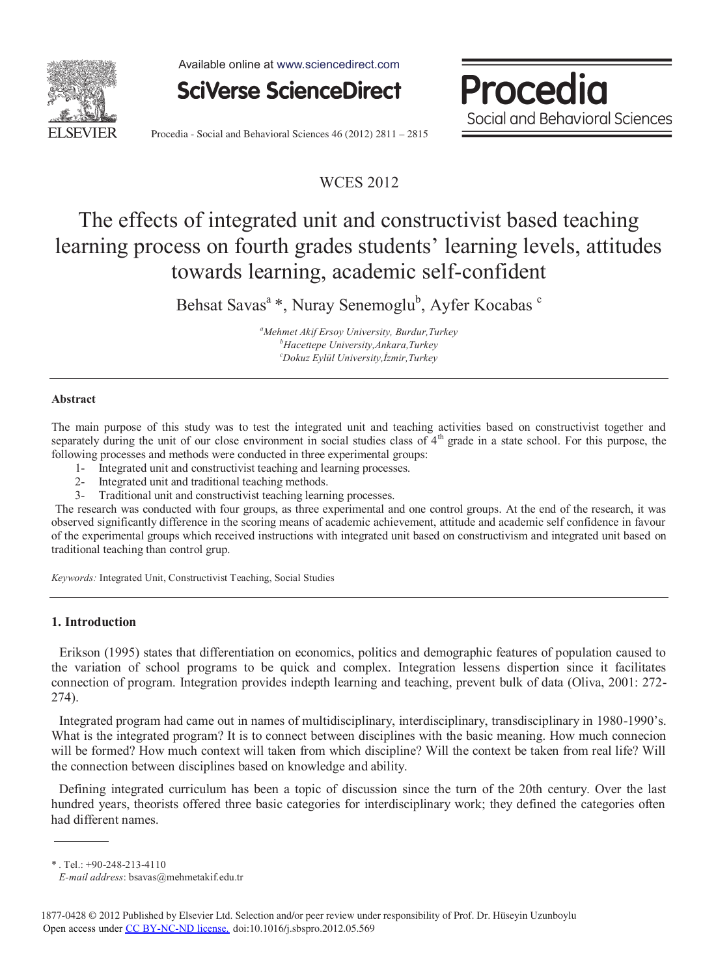

Available online at www.sciencedirect.com



Procedia Social and Behavioral Sciences

Procedia - Social and Behavioral Sciences 46 (2012) 2811 – 2815

# WCES 2012

# The effects of integrated unit and constructivist based teaching learning process on fourth grades students' learning levels, attitudes towards learning, academic self-confident

Behsat Savas<sup>a</sup> \*, Nuray Senemoglu<sup>b</sup>, Ayfer Kocabas <sup>c</sup>

*a Mehmet Akif Ersoy University, Burdur,Turkey b Hacettepe University,Ankara,Turkey c Dokuz Eylül University,İzmir,Turkey* 

## **Abstract**

The main purpose of this study was to test the integrated unit and teaching activities based on constructivist together and separately during the unit of our close environment in social studies class of  $4<sup>th</sup>$  grade in a state school. For this purpose, the following processes and methods were conducted in three experimental groups:

- 1- Integrated unit and constructivist teaching and learning processes.
- 2- Integrated unit and traditional teaching methods.
- Traditional unit and constructivist teaching learning processes.

The research was conducted with four groups, as three experimental and one control groups. At the end of the research, it was observed significantly difference in the scoring means of academic achievement, attitude and academic self confidence in favour of the experimental groups which received instructions with integrated unit based on constructivism and integrated unit based on traditional teaching than control grup.

*Keywords:* Integrated Unit, Constructivist Teaching, Social Studies

# **1. Introduction**

Erikson (1995) states that differentiation on economics, politics and demographic features of population caused to the variation of school programs to be quick and complex. Integration lessens dispertion since it facilitates connection of program. Integration provides indepth learning and teaching, prevent bulk of data (Oliva, 2001: 272- 274).

Integrated program had came out in names of multidisciplinary, interdisciplinary, transdisciplinary in 1980-1990's. What is the integrated program? It is to connect between disciplines with the basic meaning. How much connecion will be formed? How much context will taken from which discipline? Will the context be taken from real life? Will the connection between disciplines based on knowledge and ability.

Defining integrated curriculum has been a topic of discussion since the turn of the 20th century. Over the last hundred years, theorists offered three basic categories for interdisciplinary work; they defined the categories often had different names.

\* . Tel.: +90-248-213-4110

*E-mail address*: bsavas@mehmetakif.edu.tr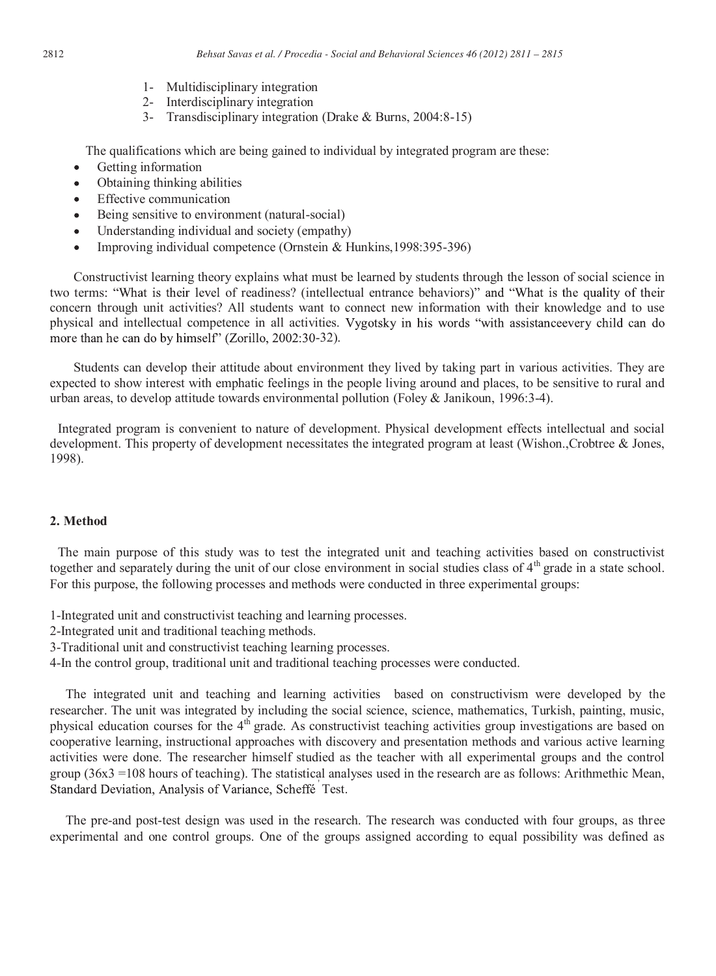- 1- Multidisciplinary integration
- 2- Interdisciplinary integration
- 3- Transdisciplinary integration (Drake & Burns, 2004:8-15)

The qualifications which are being gained to individual by integrated program are these:

- $\bullet$ Getting information
- Obtaining thinking abilities
- Effective communication
- Being sensitive to environment (natural-social)
- Understanding individual and society (empathy)
- Improving individual competence (Ornstein & Hunkins,1998:395-396)

Constructivist learning theory explains what must be learned by students through the lesson of social science in two terms: "What is their level of readiness? (intellectual entrance behaviors)" and "What is the quality of their concern through unit activities? All students want to connect new information with their knowledge and to use physical and intellectual competence in all activities. Vygotsky in his words "with assistance every child can do more than he can do by himself" (Zorillo, 2002:30-32).

Students can develop their attitude about environment they lived by taking part in various activities. They are expected to show interest with emphatic feelings in the people living around and places, to be sensitive to rural and urban areas, to develop attitude towards environmental pollution (Foley & Janikoun, 1996:3-4).

Integrated program is convenient to nature of development. Physical development effects intellectual and social development. This property of development necessitates the integrated program at least (Wishon.,Crobtree & Jones, 1998).

# **2. Method**

The main purpose of this study was to test the integrated unit and teaching activities based on constructivist together and separately during the unit of our close environment in social studies class of  $4<sup>th</sup>$  grade in a state school. For this purpose, the following processes and methods were conducted in three experimental groups:

- 1-Integrated unit and constructivist teaching and learning processes.
- 2-Integrated unit and traditional teaching methods.
- 3-Traditional unit and constructivist teaching learning processes.
- 4-In the control group, traditional unit and traditional teaching processes were conducted.

The integrated unit and teaching and learning activities based on constructivism were developed by the researcher. The unit was integrated by including the social science, science, mathematics, Turkish, painting, music, physical education courses for the 4<sup>th</sup> grade. As constructivist teaching activities group investigations are based on cooperative learning, instructional approaches with discovery and presentation methods and various active learning activities were done. The researcher himself studied as the teacher with all experimental groups and the control group  $(36x3 = 108$  hours of teaching). The statistical analyses used in the research are as follows: Arithmethic Mean, Test.

The pre-and post-test design was used in the research. The research was conducted with four groups, as three experimental and one control groups. One of the groups assigned according to equal possibility was defined as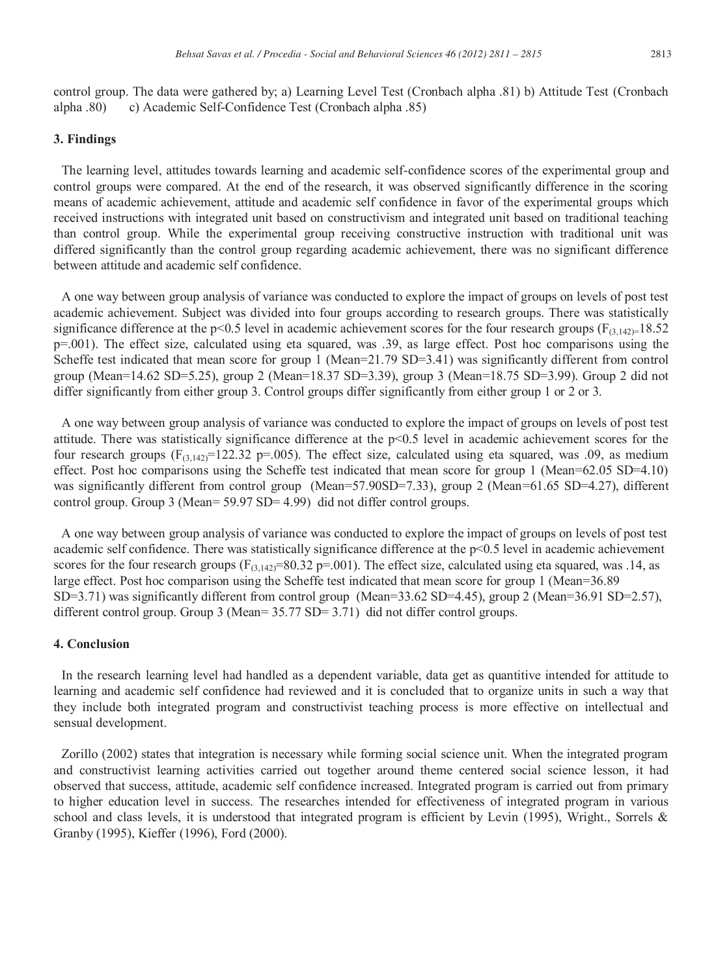control group. The data were gathered by; a) Learning Level Test (Cronbach alpha .81) b) Attitude Test (Cronbach alpha .80) c) Academic Self-Confidence Test (Cronbach alpha .85)

### **3. Findings**

The learning level, attitudes towards learning and academic self-confidence scores of the experimental group and control groups were compared. At the end of the research, it was observed significantly difference in the scoring means of academic achievement, attitude and academic self confidence in favor of the experimental groups which received instructions with integrated unit based on constructivism and integrated unit based on traditional teaching than control group. While the experimental group receiving constructive instruction with traditional unit was differed significantly than the control group regarding academic achievement, there was no significant difference between attitude and academic self confidence.

A one way between group analysis of variance was conducted to explore the impact of groups on levels of post test academic achievement. Subject was divided into four groups according to research groups. There was statistically significance difference at the p<0.5 level in academic achievement scores for the four research groups ( $F_{(3,142)=18.52}$ ) p=.001). The effect size, calculated using eta squared, was .39, as large effect. Post hoc comparisons using the Scheffe test indicated that mean score for group 1 (Mean=21.79 SD=3.41) was significantly different from control group (Mean=14.62 SD=5.25), group 2 (Mean=18.37 SD=3.39), group 3 (Mean=18.75 SD=3.99). Group 2 did not differ significantly from either group 3. Control groups differ significantly from either group 1 or 2 or 3.

A one way between group analysis of variance was conducted to explore the impact of groups on levels of post test attitude. There was statistically significance difference at the p<0.5 level in academic achievement scores for the four research groups ( $F_{(3,142)}$ =122.32 p=.005). The effect size, calculated using eta squared, was .09, as medium effect. Post hoc comparisons using the Scheffe test indicated that mean score for group 1 (Mean=62.05 SD=4.10) was significantly different from control group (Mean=57.90SD=7.33), group 2 (Mean=61.65 SD=4.27), different control group. Group 3 (Mean= 59.97 SD= 4.99) did not differ control groups.

A one way between group analysis of variance was conducted to explore the impact of groups on levels of post test academic self confidence. There was statistically significance difference at the p<0.5 level in academic achievement scores for the four research groups ( $F_{(3,142)}=80.32$  p=.001). The effect size, calculated using eta squared, was .14, as large effect. Post hoc comparison using the Scheffe test indicated that mean score for group 1 (Mean=36.89 SD=3.71) was significantly different from control group (Mean=33.62 SD=4.45), group 2 (Mean=36.91 SD=2.57), different control group. Group 3 (Mean= 35.77 SD= 3.71) did not differ control groups.

#### **4. Conclusion**

In the research learning level had handled as a dependent variable, data get as quantitive intended for attitude to learning and academic self confidence had reviewed and it is concluded that to organize units in such a way that they include both integrated program and constructivist teaching process is more effective on intellectual and sensual development.

Zorillo (2002) states that integration is necessary while forming social science unit. When the integrated program and constructivist learning activities carried out together around theme centered social science lesson, it had observed that success, attitude, academic self confidence increased. Integrated program is carried out from primary to higher education level in success. The researches intended for effectiveness of integrated program in various school and class levels, it is understood that integrated program is efficient by Levin (1995), Wright., Sorrels & Granby (1995), Kieffer (1996), Ford (2000).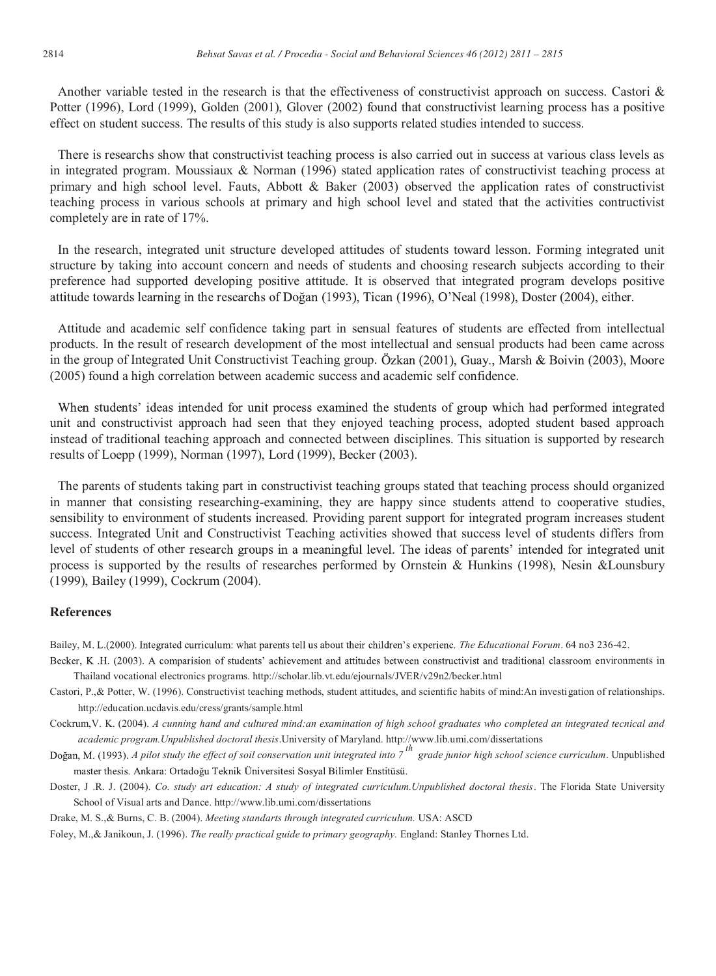Another variable tested in the research is that the effectiveness of constructivist approach on success. Castori & Potter (1996), Lord (1999), Golden (2001), Glover (2002) found that constructivist learning process has a positive effect on student success. The results of this study is also supports related studies intended to success.

There is researchs show that constructivist teaching process is also carried out in success at various class levels as in integrated program. Moussiaux & Norman (1996) stated application rates of constructivist teaching process at primary and high school level. Fauts, Abbott & Baker (2003) observed the application rates of constructivist teaching process in various schools at primary and high school level and stated that the activities contructivist completely are in rate of 17%.

In the research, integrated unit structure developed attitudes of students toward lesson. Forming integrated unit structure by taking into account concern and needs of students and choosing research subjects according to their preference had supported developing positive attitude. It is observed that integrated program develops positive attitude towards learning in the researchs of Doğan (1993), Tican (1996), O'Neal (1998), Doster (2004), either.

Attitude and academic self confidence taking part in sensual features of students are effected from intellectual products. In the result of research development of the most intellectual and sensual products had been came across in the group of Integrated Unit Constructivist Teaching group. Özkan (2001), Guay., Marsh & Boivin (2003), Moore (2005) found a high correlation between academic success and academic self confidence.

When students' ideas intended for unit process examined the students of group which had performed integrated unit and constructivist approach had seen that they enjoyed teaching process, adopted student based approach instead of traditional teaching approach and connected between disciplines. This situation is supported by research results of Loepp (1999), Norman (1997), Lord (1999), Becker (2003).

The parents of students taking part in constructivist teaching groups stated that teaching process should organized in manner that consisting researching-examining, they are happy since students attend to cooperative studies, sensibility to environment of students increased. Providing parent support for integrated program increases student success. Integrated Unit and Constructivist Teaching activities showed that success level of students differs from level of students of other research groups in a meaningful level. The ideas of parents' intended for integrated unit process is supported by the results of researches performed by Ornstein & Hunkins (1998), Nesin &Lounsbury (1999), Bailey (1999), Cockrum (2004).

#### **References**

Bailey, M. L.(2000). Integrated curriculum: what parents tell us about their children's experienc. The Educational Forum. 64 no3 236-42.

- Becker, K.H. (2003). A comparision of students' achievement and attitudes between constructivist and traditional classroom environments in Thailand vocational electronics programs. http://scholar.lib.vt.edu/ejournals/JVER/v29n2/becker.html
- Castori, P.,& Potter, W. (1996). Constructivist teaching methods, student attitudes, and scientific habits of mind:An investigation of relationships. http://education.ucdavis.edu/cress/grants/sample.html
- Cockrum,V. K. (2004). *A cunning hand and cultured mind:an examination of high school graduates who completed an integrated tecnical and academic program.Unpublished doctoral thesis*.University of Maryland. http://www.lib.umi.com/dissertations

*A pilot study the effect of soil conservation unit integrated into 7 th grade junior high school science curriculum*. Unpublished master thesis. Ankara: Ortadoğu Teknik Üniversitesi Sosyal Bilimler Enstitüsü.

- Doster, J .R. J. (2004). *Co. study art education: A study of integrated curriculum. Unpublished doctoral thesis*. The Florida State University School of Visual arts and Dance. http://www.lib.umi.com/dissertations
- Drake, M. S.,& Burns, C. B. (2004). *Meeting standarts through integrated curriculum.* USA: ASCD

Foley, M.,& Janikoun, J. (1996). *The really practical guide to primary geography.* England: Stanley Thornes Ltd.